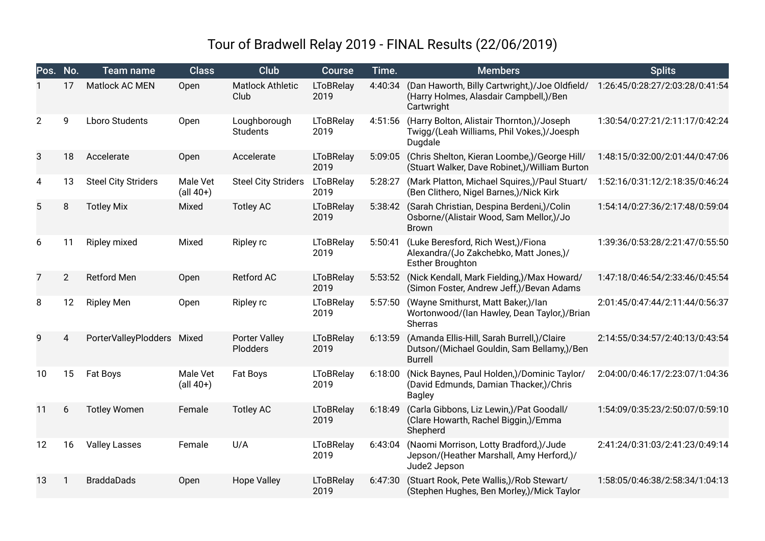## Tour of Bradwell Relay 2019 - FINAL Results (22/06/2019)

| Pos. No.       |                | <b>Team name</b>           | <b>Class</b>                               | Club                             | Course                   | Time.   | <b>Members</b>                                                                                             | <b>Splits</b>                   |
|----------------|----------------|----------------------------|--------------------------------------------|----------------------------------|--------------------------|---------|------------------------------------------------------------------------------------------------------------|---------------------------------|
|                | 17             | Matlock AC MEN             | Open                                       | <b>Matlock Athletic</b><br>Club  | <b>LToBRelay</b><br>2019 | 4:40:34 | (Dan Haworth, Billy Cartwright,)/Joe Oldfield/<br>(Harry Holmes, Alasdair Campbell,)/Ben<br>Cartwright     | 1:26:45/0:28:27/2:03:28/0:41:54 |
| $\overline{2}$ | 9              | <b>Lboro Students</b>      | Open                                       | Loughborough<br><b>Students</b>  | <b>LToBRelay</b><br>2019 | 4:51:56 | (Harry Bolton, Alistair Thornton,)/Joseph<br>Twigg/(Leah Williams, Phil Vokes,)/Joesph<br>Dugdale          | 1:30:54/0:27:21/2:11:17/0:42:24 |
| 3              | 18             | Accelerate                 | Open                                       | Accelerate                       | <b>LToBRelay</b><br>2019 | 5:09:05 | (Chris Shelton, Kieran Loombe,)/George Hill/<br>(Stuart Walker, Dave Robinet,)/William Burton              | 1:48:15/0:32:00/2:01:44/0:47:06 |
| 4              | 13             | <b>Steel City Striders</b> | Male Vet<br>$\left(\text{all } 40+\right)$ | <b>Steel City Striders</b>       | <b>LToBRelay</b><br>2019 | 5:28:27 | (Mark Platton, Michael Squires,)/Paul Stuart/<br>(Ben Clithero, Nigel Barnes,)/Nick Kirk                   | 1:52:16/0:31:12/2:18:35/0:46:24 |
| 5              | 8              | <b>Totley Mix</b>          | Mixed                                      | <b>Totley AC</b>                 | <b>LToBRelay</b><br>2019 | 5:38:42 | (Sarah Christian, Despina Berdeni,)/Colin<br>Osborne/(Alistair Wood, Sam Mellor,)/Jo<br><b>Brown</b>       | 1:54:14/0:27:36/2:17:48/0:59:04 |
| 6              | 11             | Ripley mixed               | Mixed                                      | <b>Ripley rc</b>                 | <b>LToBRelay</b><br>2019 | 5:50:41 | (Luke Beresford, Rich West,)/Fiona<br>Alexandra/(Jo Zakchebko, Matt Jones,)/<br><b>Esther Broughton</b>    | 1:39:36/0:53:28/2:21:47/0:55:50 |
| 7              | $\overline{2}$ | <b>Retford Men</b>         | Open                                       | Retford AC                       | <b>LToBRelay</b><br>2019 | 5:53:52 | (Nick Kendall, Mark Fielding,)/Max Howard/<br>(Simon Foster, Andrew Jeff,)/Bevan Adams                     | 1:47:18/0:46:54/2:33:46/0:45:54 |
| 8              | 12             | <b>Ripley Men</b>          | Open                                       | <b>Ripley rc</b>                 | <b>LToBRelay</b><br>2019 | 5:57:50 | (Wayne Smithurst, Matt Baker,)/lan<br>Wortonwood/(Ian Hawley, Dean Taylor,)/Brian<br>Sherras               | 2:01:45/0:47:44/2:11:44/0:56:37 |
| 9              | 4              | PorterValleyPlodders Mixed |                                            | <b>Porter Valley</b><br>Plodders | <b>LToBRelay</b><br>2019 | 6:13:59 | (Amanda Ellis-Hill, Sarah Burrell,)/Claire<br>Dutson/(Michael Gouldin, Sam Bellamy,)/Ben<br><b>Burrell</b> | 2:14:55/0:34:57/2:40:13/0:43:54 |
| 10             | 15             | Fat Boys                   | Male Vet<br>$(al 40+)$                     | Fat Boys                         | <b>LToBRelay</b><br>2019 | 6:18:00 | (Nick Baynes, Paul Holden,)/Dominic Taylor/<br>(David Edmunds, Damian Thacker,)/Chris<br><b>Bagley</b>     | 2:04:00/0:46:17/2:23:07/1:04:36 |
| 11             | 6              | <b>Totley Women</b>        | Female                                     | <b>Totley AC</b>                 | <b>LToBRelay</b><br>2019 | 6:18:49 | (Carla Gibbons, Liz Lewin,)/Pat Goodall/<br>(Clare Howarth, Rachel Biggin,)/Emma<br>Shepherd               | 1:54:09/0:35:23/2:50:07/0:59:10 |
| 12             | 16             | <b>Valley Lasses</b>       | Female                                     | U/A                              | LToBRelay<br>2019        | 6:43:04 | (Naomi Morrison, Lotty Bradford,)/Jude<br>Jepson/(Heather Marshall, Amy Herford,)/<br>Jude2 Jepson         | 2:41:24/0:31:03/2:41:23/0:49:14 |
| 13             |                | <b>BraddaDads</b>          | Open                                       | <b>Hope Valley</b>               | <b>LToBRelay</b><br>2019 | 6:47:30 | (Stuart Rook, Pete Wallis,)/Rob Stewart/<br>(Stephen Hughes, Ben Morley,)/Mick Taylor                      | 1:58:05/0:46:38/2:58:34/1:04:13 |